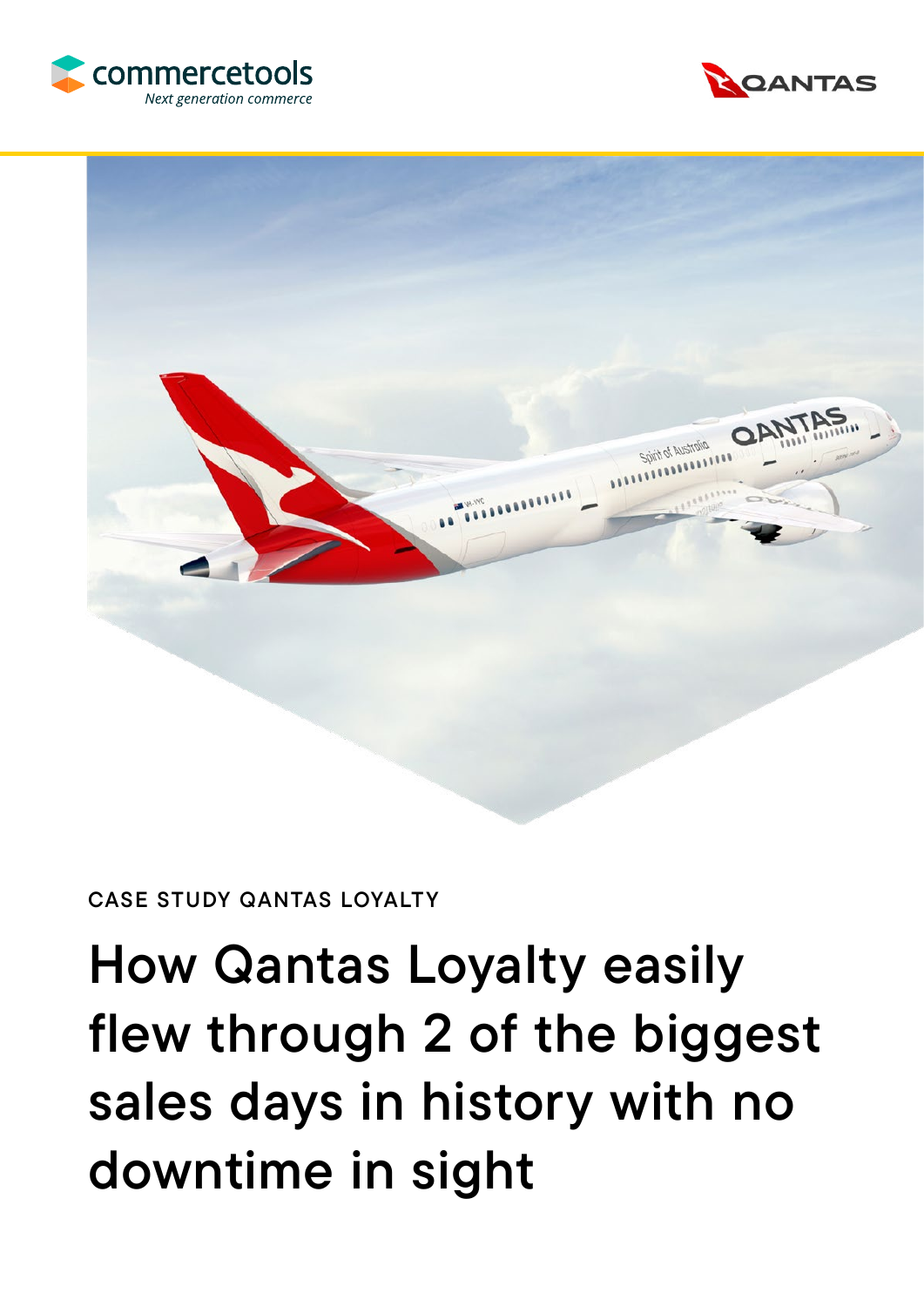





### CASE STUDY QANTAS LOYALTY

# How Qantas Loyalty easily flew through 2 of the biggest sales days in history with no downtime in sight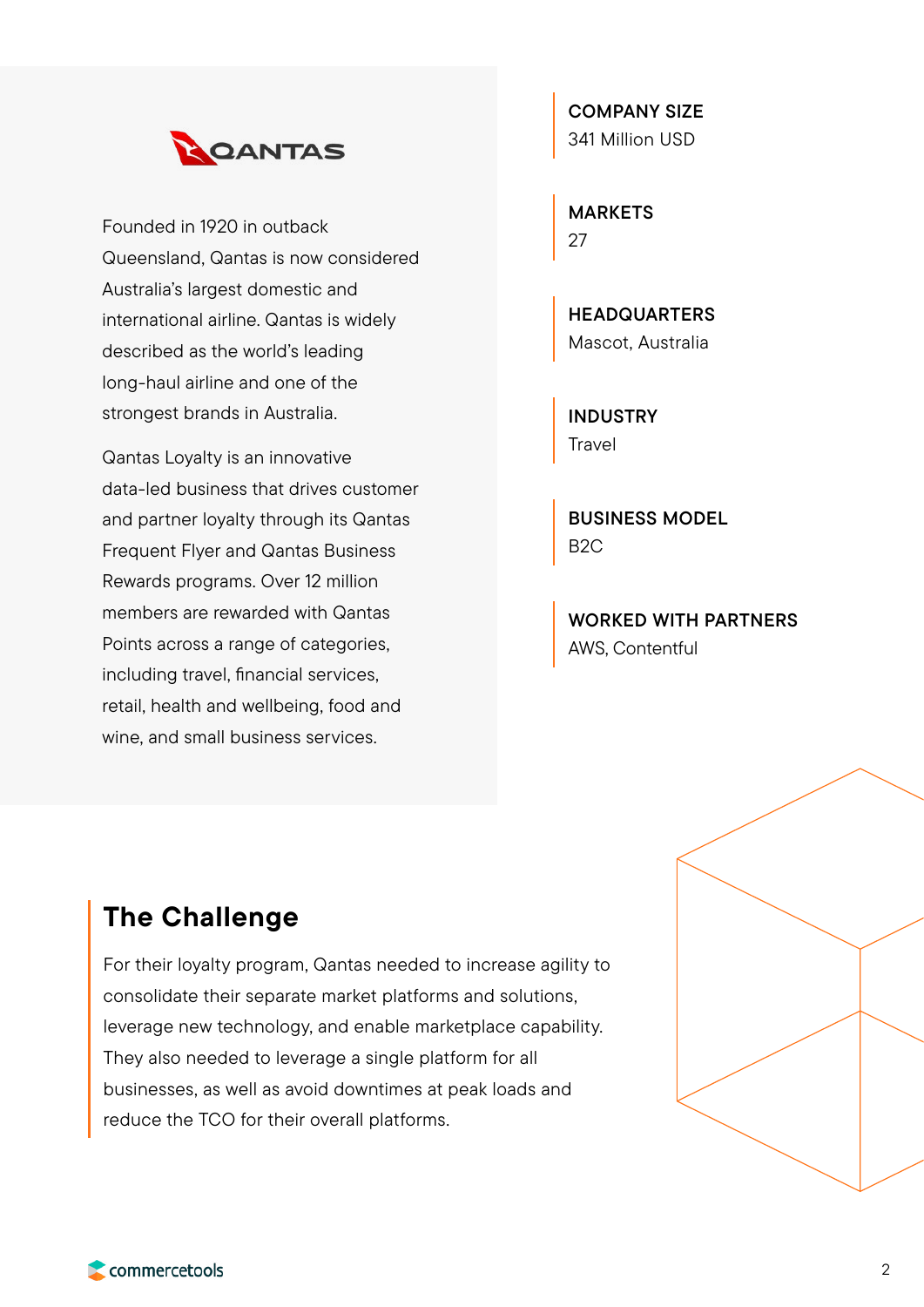

Founded in 1920 in outback Queensland, Qantas is now considered Australia's largest domestic and international airline. Qantas is widely described as the world's leading long-haul airline and one of the strongest brands in Australia.

Qantas Loyalty is an innovative data-led business that drives customer and partner loyalty through its Qantas Frequent Flyer and Qantas Business Rewards programs. Over 12 million members are rewarded with Qantas Points across a range of categories, including travel, financial services, retail, health and wellbeing, food and wine, and small business services.

COMPANY SIZE 341 Million USD

MARKETS 27

**HEADQUARTERS** Mascot, Australia

INDUSTRY Travel

BUSINESS MODEL B2C

WORKED WITH PARTNERS AWS, Contentful

## The Challenge

For their loyalty program, Qantas needed to increase agility to consolidate their separate market platforms and solutions, leverage new technology, and enable marketplace capability. They also needed to leverage a single platform for all businesses, as well as avoid downtimes at peak loads and reduce the TCO for their overall platforms.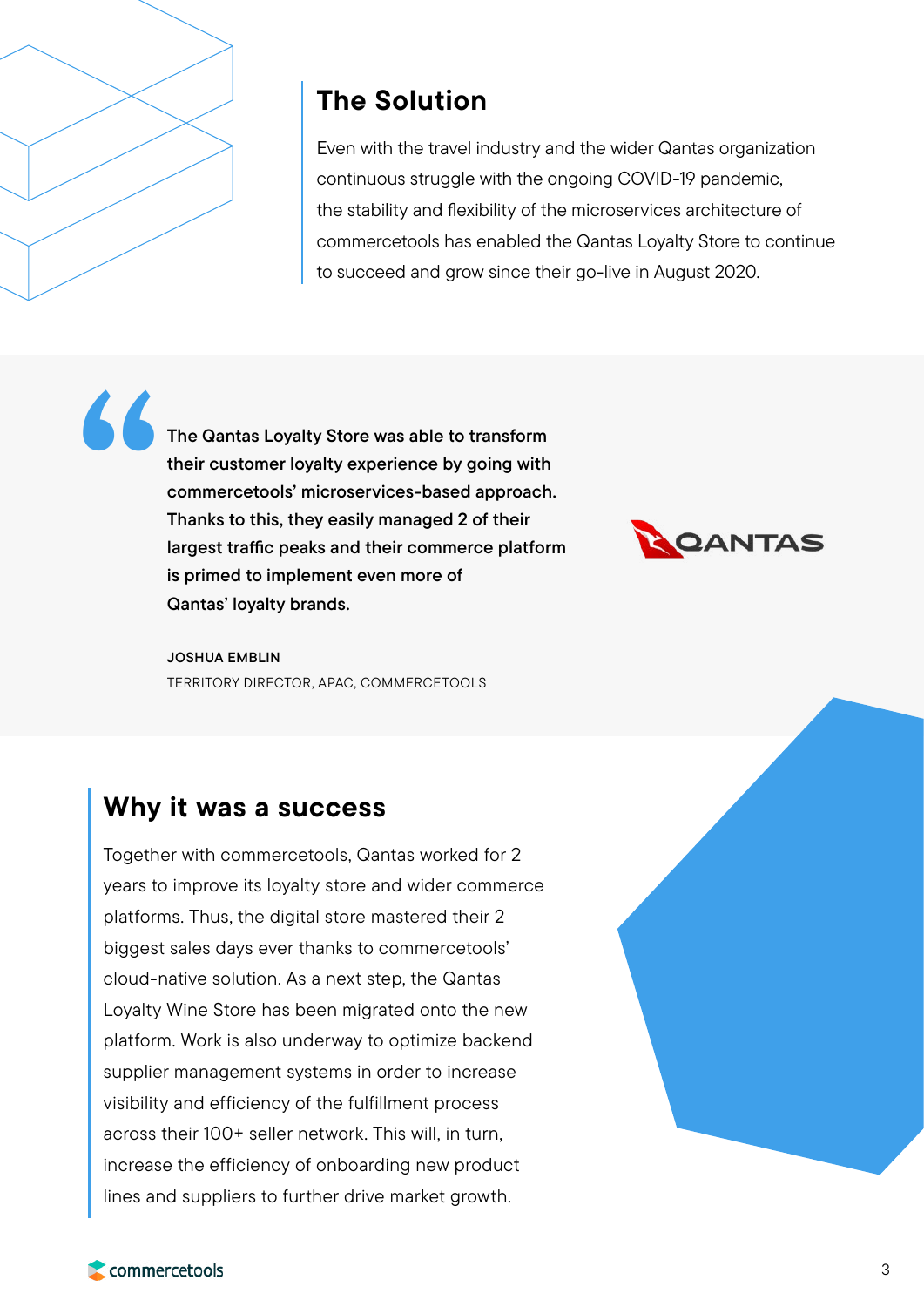

# The Solution

Even with the travel industry and the wider Qantas organization continuous struggle with the ongoing COVID-19 pandemic, the stability and flexibility of the microservices architecture of commercetools has enabled the Qantas Loyalty Store to continue to succeed and grow since their go-live in August 2020.

The Qantas Loyalty Store was able to transform their customer loyalty experience by going with commercetools' microservices-based approach. Thanks to this, they easily managed 2 of their largest traffic peaks and their commerce platform is primed to implement even more of Qantas' loyalty brands. "



JOSHUA EMBLIN TERRITORY DIRECTOR, APAC, COMMERCETOOLS

# Why it was a success

Together with commercetools, Qantas worked for 2 years to improve its loyalty store and wider commerce platforms. Thus, the digital store mastered their 2 biggest sales days ever thanks to commercetools' cloud-native solution. As a next step, the Qantas Loyalty Wine Store has been migrated onto the new platform. Work is also underway to optimize backend supplier management systems in order to increase visibility and efficiency of the fulfillment process across their 100+ seller network. This will, in turn, increase the efficiency of onboarding new product lines and suppliers to further drive market growth.